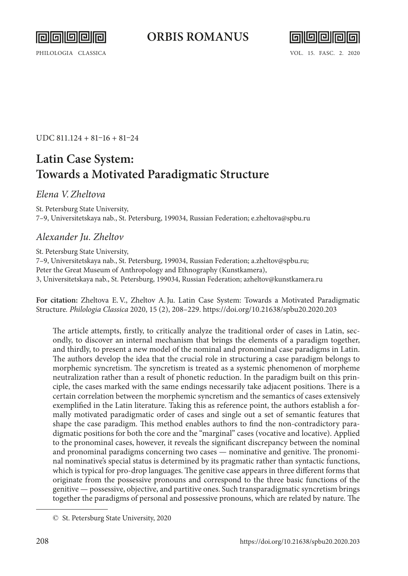



UDC 811.124 + 81–16 + 81–24

# **Latin Case System: Towards a Motivated Paradigmatic Structure**

#### *Elena V.Zheltova*

St. Petersburg State University, 7–9, Universitetskaya nab., St. Petersburg, 199034, Russian Federation; [e.zheltova@spbu.ru](mailto:e.zheltova@spbu.ru)

## *Alexander Ju. Zheltov*

St. Petersburg State University, 7–9, Universitetskaya nab., St. Petersburg, 199034, Russian Federation; [a.zheltov@spbu.ru;](mailto:a.zheltov@spbu.ru/) Peter the Great Museum of Anthropology and Ethnography (Kunstkamera), 3, Universitetskaya nab., St. Petersburg, 199034, Russian Federation; [azheltov@kunstkamera.ru](mailto:azheltov@kunstkamera.ru)

**For citation:** Zheltova E.V., Zheltov A.Ju. Latin Сase System: Towards a Motivated Paradigmatic Structure*. Philologia Classica* 2020, 15 (2), 208–229. <https://doi.org/10.21638/spbu20.2020.203>

The article attempts, firstly, to critically analyze the traditional order of cases in Latin, secondly, to discover an internal mechanism that brings the elements of a paradigm together, and thirdly, to present a new model of the nominal and pronominal case paradigms in Latin. The authors develop the idea that the crucial role in structuring a case paradigm belongs to morphemic syncretism. The syncretism is treated as a systemic phenomenon of morpheme neutralization rather than a result of phonetic reduction. In the paradigm built on this principle, the cases marked with the same endings necessarily take adjacent positions. There is a certain correlation between the morphemic syncretism and the semantics of cases extensively exemplified in the Latin literature. Taking this as reference point, the authors establish a formally motivated paradigmatic order of cases and single out a set of semantic features that shape the case paradigm. This method enables authors to find the non-contradictory paradigmatic positions for both the core and the "marginal" cases (vocative and locative). Applied to the pronominal cases, however, it reveals the significant discrepancy between the nominal and pronominal paradigms concerning two cases — nominative and genitive. The pronominal nominative's special status is determined by its pragmatic rather than syntactic functions, which is typical for pro-drop languages. The genitive case appears in three different forms that originate from the possessive pronouns and correspond to the three basic functions of the genitive — possessive, objective, and partitive ones. Such transparadigmatic syncretism brings together the paradigms of personal and possessive pronouns, which are related by nature. The

<sup>©</sup> St. Petersburg State University, 2020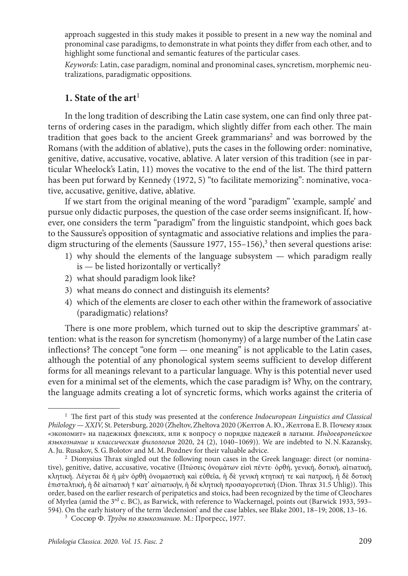approach suggested in this study makes it possible to present in a new way the nominal and pronominal case paradigms, to demonstrate in what points they differ from each other, and to highlight some functional and semantic features of the particular cases.

*Keywords:* Latin, case paradigm, nominal and pronominal cases, syncretism, morphemic neutralizations, paradigmatic oppositions.

#### **1. State of the art**<sup>1</sup>

In the long tradition of describing the Latin case system, one can find only three patterns of ordering cases in the paradigm, which slightly differ from each other. The main tradition that goes back to the ancient Greek grammarians<sup>2</sup> and was borrowed by the Romans (with the addition of ablative), puts the cases in the following order: nominative, genitive, dative, accusative, vocative, ablative. A later version of this tradition (see in particular Wheelock's Latin, 11) moves the vocative to the end of the list. The third pattern has been put forward by Kennedy (1972, 5) "to facilitate memorizing": nominative, vocative, accusative, genitive, dative, ablative.

If we start from the original meaning of the word "paradigm" 'example, sample' and pursue only didactic purposes, the question of the case order seems insignificant. If, however, one considers the term "paradigm" from the linguistic standpoint, which goes back to the Saussure's opposition of syntagmatic and associative relations and implies the paradigm structuring of the elements (Saussure 1977, 155–156),<sup>3</sup> then several questions arise:

- 1) why should the elements of the language subsystem which paradigm really is — be listed horizontally or vertically?
- 2) what should paradigm look like?
- 3) what means do connect and distinguish its elements?
- 4) which of the elements are closer to each other within the framework of associative (paradigmatic) relations?

There is one more problem, which turned out to skip the descriptive grammars' attention: what is the reason for syncretism (homonymy) of a large number of the Latin case inflections? The concept "one form — one meaning" is not applicable to the Latin cases, although the potential of any phonological system seems sufficient to develop different forms for all meanings relevant to a particular language. Why is this potential never used even for a minimal set of the elements, which the case paradigm is? Why, on the contrary, the language admits creating a lot of syncretic forms, which works against the criteria of

<sup>1</sup> The first part of this study was presented at the conference *Indoeuropean Linguistics and Classical Philology — XXIV,* St. Petersburg, 2020 (Zheltov, Zheltova 2020 (Желтов А.Ю., Желтова Е.В. Почему язык «экономит» на падежных флексиях, или к вопросу о порядке падежей в латыни. *Индоевропейское языкознание и классическая филология* 2020, 24 (2), 1040–1069)). We are indebted to N.N.Kazansky,

<sup>&</sup>lt;sup>2</sup> Dionysius Thrax singled out the following noun cases in the Greek language: direct (or nominative), genitive, dative, accusative, vocative (Πτώσεις ὀνομάτων εἰσὶ πέντε· ὀρθή, γενική, δοτική, αἰτιατική, κλητική. Λέγεται δὲ ἡ μὲν ὀρθὴ ὀνομαστικὴ καὶ εὐθεῖα, ἡ δὲ γενικὴ κτητική τε καὶ πατρική, ἡ δὲ δοτικὴ ἐπισταλτική, ἡ δὲ αἰτιατικὴ † κατ' αἰτιατικήν, ἡ δὲ κλητικὴ προσαγορευτική (Dion. Thrax 31.5 Uhlig)). This order, based on the earlier research of peripatetics and stoics, had been recognized by the time of Cleochares of Myrlea (amid the 3<sup>rd</sup> c. BC), as Barwick, with reference to Wackernagel, points out (Barwick 1933, 593– 594). On the early history of the term 'declension' and the case lables, see Blake 2001, 18–19; 2008, 13–16. 3 Соссюр Ф. *Труды по языкознанию.* М.: Прогресс, 1977.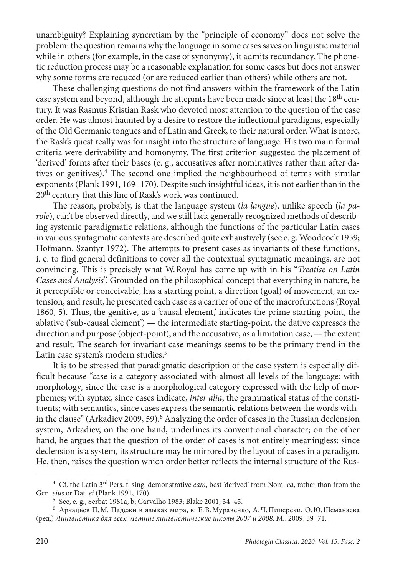unambiguity? Explaining syncretism by the "principle of economy" does not solve the problem: the question remains why the language in some cases saves on linguistic material while in others (for example, in the case of synonymy), it admits redundancy. The phonetic reduction process may be a reasonable explanation for some cases but does not answer why some forms are reduced (or are reduced earlier than others) while others are not.

These challenging questions do not find answers within the framework of the Latin case system and beyond, although the attepmts have been made since at least the 18<sup>th</sup> century. It was Rasmus Kristian Rask who devoted most attention to the question of the case order. He was almost haunted by a desire to restore the inflectional paradigms, especially of the Old Germanic tongues and of Latin and Greek, to their natural order. What is more, the Rask's quest really was for insight into the structure of language. His two main formal criteria were derivability and homonymy. The first criterion suggested the placement of 'derived' forms after their bases (e. g., accusatives after nominatives rather than after datives or genitives).4 The second one implied the neighbourhood of terms with similar exponents (Plank 1991, 169–170). Despite such insightful ideas, it is not earlier than in the 20th century that this line of Rask's work was continued.

The reason, probably, is that the language system (*la langue*), unlike speech (*la parole*), can't be observed directly, and we still lack generally recognized methods of describing systemic paradigmatic relations, although the functions of the particular Latin cases in various syntagmatic contexts are described quite exhaustively (see e. g. Woodcock 1959; Hofmann, Szantyr 1972). The attempts to present cases as invariants of these functions, i. e. to find general definitions to cover all the contextual syntagmatic meanings, are not convincing. This is precisely what W.Royal has come up with in his "*Treatise on Latin Cases and Analysis*". Grounded on the philosophical concept that everything in nature, be it perceptible or conceivable, has a starting point, a direction (goal) of movement, an extension, and result, he presented each case as a carrier of one of the macrofunctions (Royal 1860, 5). Thus, the genitive, as a 'causal element,' indicates the prime starting-point, the ablative ('sub-causal element') — the intermediate starting-point, the dative expresses the direction and purpose (object-point), and the accusative, as a limitation case, — the extent and result. The search for invariant case meanings seems to be the primary trend in the Latin case system's modern studies.<sup>5</sup>

It is to be stressed that paradigmatic description of the case system is especially difficult because "case is a category associated with almost all levels of the language: with morphology, since the case is a morphological category expressed with the help of morphemes; with syntax, since cases indicate, *inter alia*, the grammatical status of the constituents; with semantics, since cases express the semantic relations between the words within the clause" (Arkadiev 2009, 59).<sup>6</sup> Analyzing the order of cases in the Russian declension system, Arkadiev, on the one hand, underlines its conventional character; on the other hand, he argues that the question of the order of cases is not entirely meaningless: since declension is a system, its structure may be mirrored by the layout of cases in a paradigm. He, then, raises the question which order better reflects the internal structure of the Rus-

<sup>4</sup> Cf. the Latin 3rd Pers. f. sing. demonstrative *eam*, best 'derived' from Nom. *ea*, rather than from the

<sup>&</sup>lt;sup>5</sup> See, e. g., Serbat 1981a, b; Carvalho 1983; Blake 2001, 34-45.

<sup>6</sup> Аркадьев П.М. Падежи в языках мира, в: Е.В.Муравенко, А.Ч.Пиперски, О.Ю.Шеманаева (ред.) *Лингвистика для всех: Летние лингвистические школы 2007 и 2008*. М., 2009, 59–71.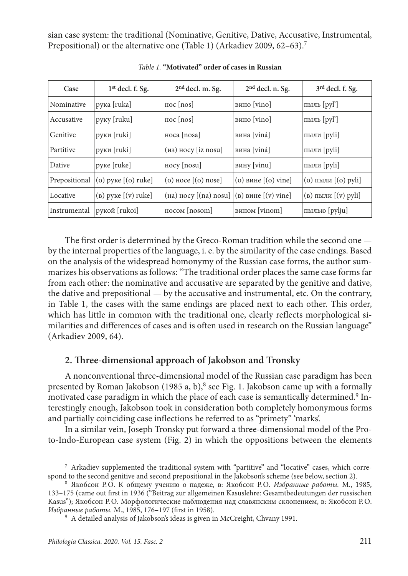sian case system: the traditional (Nominative, Genitive, Dative, Accusative, Instrumental, Prepositional) or the alternative one (Table 1) (Arkadiev 2009, 62–63).<sup>7</sup>

| Case          | $1st$ decl. f. Sg.     | $2nd$ decl. m. Sg.                               | 2 <sup>nd</sup> decl. n. Sg. | 3rd decl. f. Sg.                |
|---------------|------------------------|--------------------------------------------------|------------------------------|---------------------------------|
| Nominative    | рука [ruka]            | $HOC$ [nos]                                      | вино [vino]                  | пыль [ру]']                     |
| Accusative    | руку [ruku]            | $HOC$ [nos]                                      | вино [vino]                  | пыль [ру]']                     |
| Genitive      | руки $[ruki]$          | $Hoca$ [nosa]                                    | вина [viná]                  | пыли [pyli]                     |
| Partitive     | руки $[ruki]$          | $(11)$ Hocy $[12 \text{ nosu}]$                  | вина [viná]                  | пыли [pyli]                     |
| Dative        | руке [ruke]            | $HOCV$ [nosu]                                    | вину [vinu]                  | пыли [pyli]                     |
| Prepositional | $(0)$ руке $(0)$ ruke] | $(o)$ носе $[(o)$ nose                           | $(0)$ вине $(0)$ vine        | (о) пыли $($ (о) pyli           |
| Locative      | $(a)$ pyke $(v)$ ruke  | $(ha)$ Hocy $[(na)$ nosu $](b)$ вине $[(v)$ vine |                              | (в) пыли $\lceil v \rceil$ pyli |
| Instrumental  | рукой [rukoi]          | $HOCOM$ $[nosom]$                                | B <sub>BMHOM</sub> [vinom]   | пылью [pylju]                   |

*Table 1.* **"Motivated" order of cases in Russian**

The first order is determined by the Greco-Roman tradition while the second one by the internal properties of the language, i. e. by the similarity of the case endings. Based on the analysis of the widespread homonymy of the Russian case forms, the author summarizes his observations as follows: "The traditional order places the same case forms far from each other: the nominative and accusative are separated by the genitive and dative, the dative and prepositional  $-$  by the accusative and instrumental, etc. On the contrary, in Table 1, the cases with the same endings are placed next to each other. This order, which has little in common with the traditional one, clearly reflects morphological similarities and differences of cases and is often used in research on the Russian language" (Arkadiev 2009, 64).

## **2. Three-dimensional approach of Jakobson and Tronsky**

A nonconventional three-dimensional model of the Russian case paradigm has been presented by Roman Jakobson (1985 a, b),<sup>8</sup> see Fig. 1. Jakobson came up with a formally motivated case paradigm in which the place of each case is semantically determined.<sup>9</sup> Interestingly enough, Jakobson took in consideration both completely homonymous forms and partially coinciding case inflections he referred to as "primety" 'marks'.

In a similar vein, Joseph Tronsky put forward a three-dimensional model of the Proto-Indo-European case system (Fig. 2) in which the oppositions between the elements

<sup>7</sup> Arkadiev supplemented the traditional system with "partitive" and "locative" cases, which corre-

spond to the second genitive and second prepositional in the Jakobson's scheme (see below, section 2). 8 Якобсон Р.О. К общему учению о падеже, в: Якобсон Р.О. *Избранные работы.* М., 1985, 133–175 (came out first in 1936 ("Beitrag zur allgemeinen Kasuslehre: Gesamtbedeutungen der russischen Kasus"); Якобсон Р.О. Морфологические наблюдения над славянским склонением, в: Якобсон Р.О. *Избранные работы.* М., 1985, 176–197 (first in 1958).

<sup>&</sup>lt;sup>9</sup> A detailed analysis of Jakobson's ideas is given in McCreight, Chvany 1991.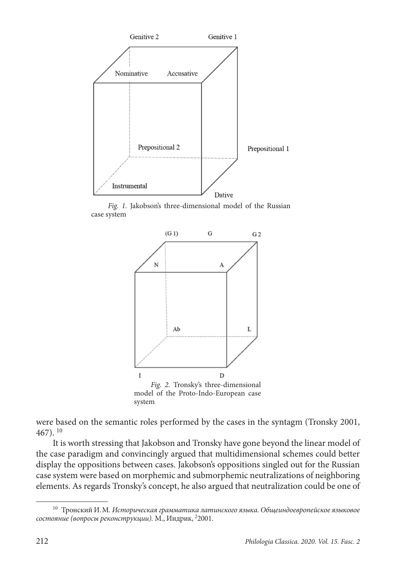

*Fig. 1.* Jakobson's three-dimensional model of the Russian case system



were based on the semantic roles performed by the cases in the syntagm (Tronsky 2001, 467). 10

It is worth stressing that Jakobson and Tronsky have gone beyond the linear model of the case paradigm and convincingly argued that multidimensional schemes could better display the oppositions between cases. Jakobson's oppositions singled out for the Russian case system were based on morphemic and submorphemic neutralizations of neighboring elements. As regards Tronsky's concept, he also argued that neutralization could be one of

<sup>10</sup> Тронский И.М. *Историческая грамматика латинского языка*. *Общеиндоевропейское языковое состояние (вопросы реконструкции).* М., Индрик, 2 2001.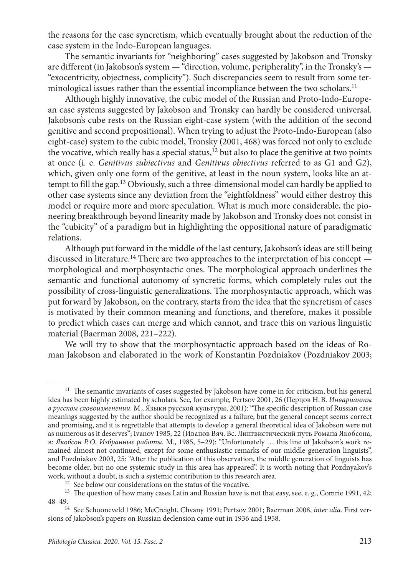the reasons for the case syncretism, which eventually brought about the reduction of the case system in the Indo-European languages.

The semantic invariants for "neighboring" cases suggested by Jakobson and Tronsky are different (in Jakobson's system — "direction, volume, peripherality", in the Tronsky's — "exocentricity, objectness, complicity"). Such discrepancies seem to result from some terminological issues rather than the essential incompliance between the two scholars.<sup>11</sup>

Although highly innovative, the cubic model of the Russian and Proto-Indo-European case systems suggested by Jakobson and Tronsky can hardly be considered universal. Jakobson's cube rests on the Russian eight-case system (with the addition of the second genitive and second prepositional). When trying to adjust the Proto-Indo-European (also eight-case) system to the cubic model, Tronsky (2001, 468) was forced not only to exclude the vocative, which really has a special status, $12$  but also to place the genitive at two points at once (i. e. *Genitivus subiectivus* and *Genitivus obiectivus* referred to as G1 and G2), which, given only one form of the genitive, at least in the noun system, looks like an attempt to fill the gap.<sup>13</sup> Obviously, such a three-dimensional model can hardly be applied to other case systems since any deviation from the "eightfoldness" would either destroy this model or require more and more speculation. What is much more considerable, the pioneering breakthrough beyond linearity made by Jakobson and Tronsky does not consist in the "cubicity" of a paradigm but in highlighting the oppositional nature of paradigmatic relations.

Although put forward in the middle of the last century, Jakobson's ideas are still being discussed in literature.<sup>14</sup> There are two approaches to the interpretation of his concept  $$ morphological and morphosyntactic ones. The morphological approach underlines the semantic and functional autonomy of syncretic forms, which completely rules out the possibility of cross-linguistic generalizations. The morphosyntactic approach, which was put forward by Jakobson, on the contrary, starts from the idea that the syncretism of cases is motivated by their common meaning and functions, and therefore, makes it possible to predict which cases can merge and which cannot, and trace this on various linguistic material (Baerman 2008, 221–222).

We will try to show that the morphosyntactic approach based on the ideas of Roman Jakobson and elaborated in the work of Konstantin Pozdniakov (Pozdniakov 2003;

<sup>&</sup>lt;sup>11</sup> The semantic invariants of cases suggested by Jakobson have come in for criticism, but his general idea has been highly estimated by scholars. See, for example, Pertsov 2001, 26 (Перцов Н.В. *Инварианты в русском словоизменении.* М., Языки русской культуры, 2001): "The specific description of Russian case meanings suggested by the author should be recognized as a failure, but the general concept seems correct and promising, and it is regrettable that attempts to develop a general theoretical idea of Jakobson were not as numerous as it deserves"; Ivanov 1985, 22 (Иванов Вяч. Вс. Лингвистический путь Романа Якобсона, в: *Якобсон Р.О. Избранные работы.* М., 1985, 5–29): "Unfortunately … this line of Jakobson's work remained almost not continued, except for some enthusiastic remarks of our middle-generation linguists", and Pozdniakov 2003, 25: "After the publication of this observation, the middle generation of linguists has become older, but no one systemic study in this area has appeared". It is worth noting that Pozdnyakov's work, without a doubt, is such a systemic contribution to this research area.<br> $^{12}$  See below our considerations on the status of the vocative.

 $13$  The question of how many cases Latin and Russian have is not that easy, see, e. g., Comrie 1991, 42; 48–49. 14 See Schooneveld 1986; McCreight, Chvany 1991; Pertsov 2001; Baerman 2008, *inter alia*. First ver-

sions of Jakobson's papers on Russian declension came out in 1936 and 1958.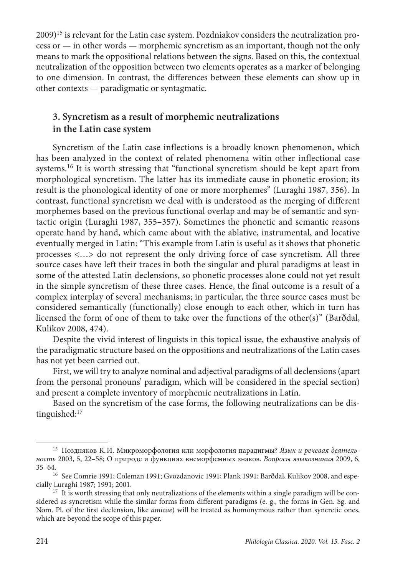$2009$ <sup>15</sup> is relevant for the Latin case system. Pozdniakov considers the neutralization process or — in other words — morphemic syncretism as an important, though not the only means to mark the oppositional relations between the signs. Based on this, the contextual neutralization of the opposition between two elements operates as a marker of belonging to one dimension. In contrast, the differences between these elements can show up in other contexts — paradigmatic or syntagmatic.

# **3. Syncretism as a result of morphemic neutralizations in the Latin case system**

Syncretism of the Latin case inflections is a broadly known phenomenon, which has been analyzed in the context of related phenomena witin other inflectional case systems.16 It is worth stressing that "functional syncretism should be kept apart from morphological syncretism. The latter has its immediate cause in phonetic erosion; its result is the phonological identity of one or more morphemes" (Luraghi 1987, 356). In contrast, functional syncretism we deal with is understood as the merging of different morphemes based on the previous functional overlap and may be of semantic and syntactic origin (Luraghi 1987, 355–357). Sometimes the phonetic and semantic reasons operate hand by hand, which came about with the ablative, instrumental, and locative eventually merged in Latin: "This example from Latin is useful as it shows that phonetic processes <…> do not represent the only driving force of case syncretism. All three source cases have left their traces in both the singular and plural paradigms at least in some of the attested Latin declensions, so phonetic processes alone could not yet result in the simple syncretism of these three cases. Hence, the final outcome is a result of a complex interplay of several mechanisms; in particular, the three source cases must be considered semantically (functionally) close enough to each other, which in turn has licensed the form of one of them to take over the functions of the other(s)" (Barðdal, Kulikov 2008, 474).

Despite the vivid interest of linguists in this topical issue, the exhaustive analysis of the paradigmatic structure based on the oppositions and neutralizations of the Latin cases has not yet been carried out.

First, we will try to analyze nominal and adjectival paradigms of all declensions (apart from the personal pronouns' paradigm, which will be considered in the special section) and present a complete inventory of morphemic neutralizations in Latin.

Based on the syncretism of the case forms, the following neutralizations can be distinguished:17

<sup>15</sup> Поздняков К.И. Микроморфология или морфология парадигмы? *Язык и речевая деятельность* 2003, 5, 22–58; О природе и функциях внеморфемных знаков. *Вопросы языкознания* 2009, 6,

<sup>35–64. 16</sup> See Comrie 1991; Coleman 1991; Gvozdanovic 1991; Plank 1991; Barðdal, Kulikov 2008, and espe-

 $17$  It is worth stressing that only neutralizations of the elements within a single paradigm will be considered as syncretism while the similar forms from different paradigms (e. g., the forms in Gen. Sg. and Nom. Pl. of the first declension, like *amicae*) will be treated as homonymous rather than syncretic ones, which are beyond the scope of this paper.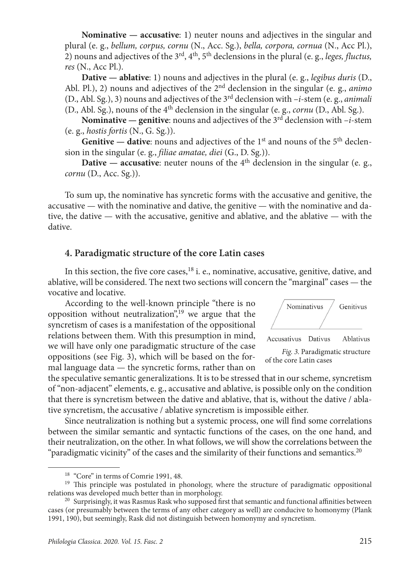**Nominative — accusative**: 1) neuter nouns and adjectives in the singular and plural (e. g., *bellum, corpus, cornu* (N., Acc. Sg.), *bella, corpora, cornua* (N., Acc Pl.), 2) nouns and adjectives of the 3rd, 4th, 5th declensions in the plural (e. g., *leges, fluctus, res* (N., Acc Pl.).

**Dative — ablative**: 1) nouns and adjectives in the plural (e. g., *legibus duris* (D., Abl. Pl.), 2) nouns and adjectives of the 2nd declension in the singular (e. g., *animo*  (D., Abl. Sg.), 3) nouns and adjectives of the 3rd declension with –*i*-stem (e. g., *animali* (D., Abl. Sg.), nouns of the 4th declension in the singular (e. g., *cornu* (D., Abl. Sg.).

**Nominative — genitive:** nouns and adjectives of the  $3<sup>rd</sup>$  declension with  $-i$ -stem (e. g., *hostis fortis* (N., G. Sg.)).

Genitive — dative: nouns and adjectives of the 1<sup>st</sup> and nouns of the 5<sup>th</sup> declension in the singular (e. g., *filiae amatae, diei* (G., D. Sg.)).

**Dative — accusative:** neuter nouns of the  $4<sup>th</sup>$  declension in the singular (e. g., *cornu* (D., Acc. Sg.)).

To sum up, the nominative has syncretic forms with the accusative and genitive, the accusative — with the nominative and dative, the genitive — with the nominative and dative, the dative — with the accusative, genitive and ablative, and the ablative — with the dative.

## **4. Paradigmatic structure of the core Latin cases**

In this section, the five core cases, $18$  i. e., nominative, accusative, genitive, dative, and ablative, will be considered. The next two sections will concern the "marginal" cases — the vocative and locative.

According to the well-known principle "there is no opposition without neutralization",<sup>19</sup> we argue that the syncretism of cases is a manifestation of the oppositional relations between them. With this presumption in mind, we will have only one paradigmatic structure of the case oppositions (see Fig. 3), which will be based on the formal language data — the syncretic forms, rather than on





the speculative semantic generalizations. It is to be stressed that in our scheme, syncretism of "non-adjacent" elements, e. g., accusative and ablative, is possible only on the condition that there is syncretism between the dative and ablative, that is, without the dative / ablative syncretism, the accusative / ablative syncretism is impossible either.

Since neutralization is nothing but a systemic process, one will find some correlations between the similar semantic and syntactic functions of the cases, on the one hand, and their neutralization, on the other. In what follows, we will show the correlations between the "paradigmatic vicinity" of the cases and the similarity of their functions and semantics.<sup>20</sup>

<sup>&</sup>lt;sup>18</sup> "Core" in terms of Comrie 1991, 48.<br><sup>19</sup> This principle was postulated in phonology, where the structure of paradigmatic oppositional relations was developed much better than in morphology.

<sup>&</sup>lt;sup>20</sup> Surprisingly, it was Rasmus Rask who supposed first that semantic and functional affinities between cases (or presumably between the terms of any other category as well) are conducive to homonymy (Plank 1991, 190), but seemingly, Rask did not distinguish between homonymy and syncretism.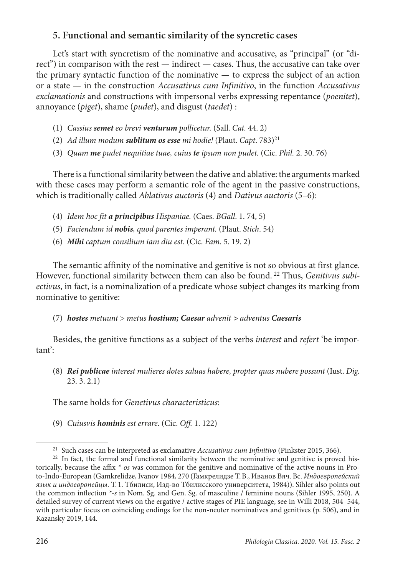# **5. Functional and semantic similarity of the syncretic cases**

Let's start with syncretism of the nominative and accusative, as "principal" (or "direct") in comparison with the rest — indirect — cases. Thus, the accusative can take over the primary syntactic function of the nominative — to express the subject of an action or a state — in the construction *Accusativus cum Infinitivo*, in the function *Accusativus exclamationis* and constructions with impersonal verbs expressing repentance (*poenitet*), annoyance (*piget*), shame (*pudet*), and disgust (*taedet*) :

- (1) *Сassius semet eo brevi venturum pollicetur.* (Sall. *Cat.* 44. 2)
- (2) *Ad illum modum sublitum os esse mi hodie!* (Plaut. *Capt*. 783)21
- (3) *Quam me pudet nequitiae tuae, cuius te ipsum non pudet.* (Cic. *Phil.* 2. 30. 76)

There is a functional similarity between the dative and ablative: the arguments marked with these cases may perform a semantic role of the agent in the passive constructions, which is traditionally called *Ablativus auctoris* (4) and *Dativus auctoris* (5–6):

- (4) *Idem hoc fit a principibus Hispaniae.* (Caes. *BGall*. 1. 74, 5)
- (5) *Faciendum id nobis, quod parentes imperant.* (Plaut. *Stich*. 54)
- (6) *Mihi captum consilium iam diu est.* (Cic. *Fam.* 5. 19. 2)

The semantic affinity of the nominative and genitive is not so obvious at first glance. However, functional similarity between them can also be found. 22 Thus, *Genitivus subiectivus*, in fact, is a nominalization of a predicate whose subject changes its marking from nominative to genitive:

## (7) *hostes metuunt* > *metus hostium; Caesar advenit > adventus Caesaris*

Besides, the genitive functions as a subject of the verbs *interest* and *refert* 'be important':

(8) *Rei publicae interest mulieres dotes saluas habere, propter quas nubere possunt* (Iust. *Dig.* 23. 3. 2.1)

The same holds for *Genetivus characteristicus*:

(9) *Cuiusvis hominis est errare.* (Cic. *Off.* 1. 122)

<sup>&</sup>lt;sup>21</sup> Such cases can be interpreted as exclamative *Accusativus cum Infinitivo* (Pinkster 2015, 366).<br><sup>22</sup> In fact, the formal and functional similarity between the nominative and genitive is proved his-

torically, because the affix *\*-os* was common for the genitive and nominative of the active nouns in Proto-Indo-European (Gamkrelidze, Ivanov 1984, 270 (Гамкрелидзе Т.В., Иванов Вяч. Вс. *Индоевропейский язык и индоевропейцы*. Т. 1. Тбилиси, Изд-во Тбилисского университета, 1984)). Sihler also points out the common inflection *\*-s* in Nom. Sg. and Gen. Sg. of masculine / feminine nouns (Sihler 1995, 250). A detailed survey of current views on the ergative / active stages of PIE language, see in Willi 2018, 504–544, with particular focus on coinciding endings for the non-neuter nominatives and genitives (p. 506), and in Kazansky 2019, 144.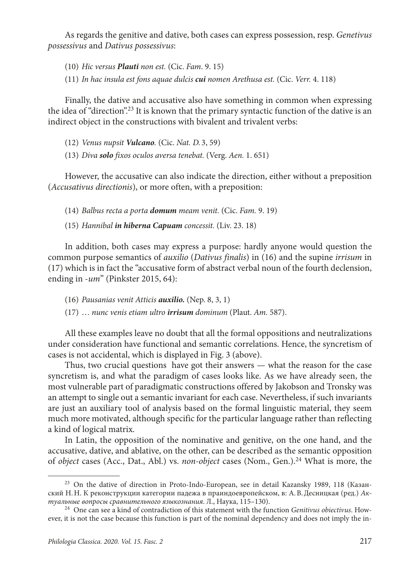As regards the genitive and dative, both cases can express possession, resp. *Genetivus possessivus* and *Dativus possessivus*:

(10) *Hic versus Plauti non est.* (Cic. *Fam*. 9. 15)

(11) *In hac insula est fons aquae dulcis cui nomen Arethusa est.* (Cic. *Verr.* 4. 118)

Finally, the dative and accusative also have something in common when expressing the idea of "direction".<sup>23</sup> It is known that the primary syntactic function of the dative is an indirect object in the constructions with bivalent and trivalent verbs:

(12) *Venus nupsit Vulcano.* (Cic. *Nat. D.* 3, 59)

(13) *Diva solo fixos oculos aversa tenebat.* (Verg. *Aen.* 1. 651)

However, the accusative can also indicate the direction, either without a preposition (*Accusativus directionis*), or more often, with a preposition:

(14) *Balbus recta a porta domum meam venit.* (Cic. *Fam.* 9. 19)

(15) *Hannibal in hiberna Capuam concessit.* (Liv. 23. 18)

In addition, both cases may express a purpose: hardly anyone would question the common purpose semantics of *auxilio* (*Dativus finalis*) in (16) and the supine *irrisum* in (17) which is in fact the "accusative form of abstract verbal noun of the fourth declension, ending in -*um*" (Pinkster 2015, 64):

- (16) *Pausanias venit Atticis auxilio.* (Nep. 8, 3, 1)
- (17) … *nunc venis etiam ultro irrisum dominum* (Plaut. *Am.* 587).

All these examples leave no doubt that all the formal oppositions and neutralizations under consideration have functional and semantic correlations. Hence, the syncretism of cases is not accidental, which is displayed in Fig. 3 (above).

Thus, two crucial questions have got their answers — what the reason for the case syncretism is, and what the paradigm of cases looks like. As we have already seen, the most vulnerable part of paradigmatic constructions offered by Jakobson and Tronsky was an attempt to single out a semantic invariant for each case. Nevertheless, if such invariants are just an auxiliary tool of analysis based on the formal linguistic material, they seem much more motivated, although specific for the particular language rather than reflecting a kind of logical matrix.

In Latin, the opposition of the nominative and genitive, on the one hand, and the accusative, dative, and ablative, on the other, can be described as the semantic opposition of *object* cases (Аcc., Dat., Аbl.) vs. *non-object* cases (Nom., Gen.).24 What is more, the

<sup>23</sup> On the dative of direction in Proto-Indo-European, see in detail Kazansky 1989, 118 (Казанский Н.Н. К реконструкции категории падежа в праиндоевропейском, в: А.В.Десницкая (ред.) *Ак-*

<sup>&</sup>lt;sup>24</sup> One can see a kind of contradiction of this statement with the function *Genitivus obiectivus*. However, it is not the case because this function is part of the nominal dependency and does not imply the in-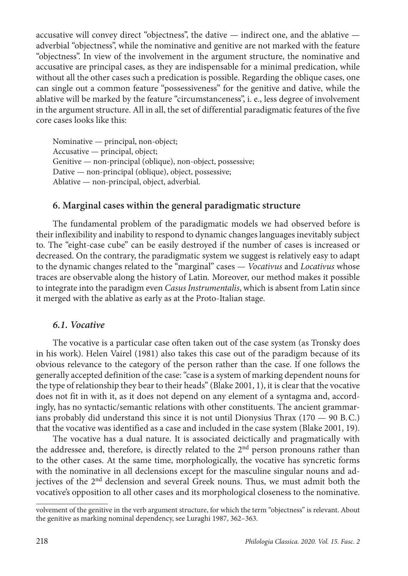accusative will convey direct "objectness", the dative — indirect one, and the ablative adverbial "objectness", while the nominative and genitive are not marked with the feature "objectness". In view of the involvement in the argument structure, the nominative and accusative are principal cases, as they are indispensable for a minimal predication, while without all the other cases such a predication is possible. Regarding the oblique cases, one can single out a common feature "possessiveness" for the genitive and dative, while the ablative will be marked by the feature "circumstanceness", i. e., less degree of involvement in the argument structure. All in all, the set of differential paradigmatic features of the five core cases looks like this:

Nominative — principal, non-object; Accusative — principal, object; Genitive — non-principal (oblique), non-object, possessive; Dative — non-principal (oblique), object, possessive; Ablative — non-principal, object, adverbial.

## **6. Marginal cases within the general paradigmatic structure**

The fundamental problem of the paradigmatic models we had observed before is their inflexibility and inability to respond to dynamic changes languages inevitably subject to. The "eight-case cube" can be easily destroyed if the number of cases is increased or decreased. On the contrary, the paradigmatic system we suggest is relatively easy to adapt to the dynamic changes related to the "marginal" cases — *Vocativus* and *Locativus* whose traces are observable along the history of Latin*.* Moreover, our method makes it possible to integrate into the paradigm even *Casus Instrumentalis*, which is absent from Latin since it merged with the ablative as early as at the Proto-Italian stage.

## *6.1. Vocative*

The vocative is a particular case often taken out of the case system (as Tronsky does in his work). Helen Vairel (1981) also takes this case out of the paradigm because of its obvious relevance to the category of the person rather than the case. If one follows the generally accepted definition of the case: "case is a system of marking dependent nouns for the type of relationship they bear to their heads" (Blake 2001, 1), it is clear that the vocative does not fit in with it, as it does not depend on any element of a syntagma and, accordingly, has no syntactic/semantic relations with other constituents. The ancient grammarians probably did understand this since it is not until Dionysius Thrax  $(170 - 90 B.C.)$ that the vocative was identified as a case and included in the case system (Blake 2001, 19).

The vocative has a dual nature. It is associated deictically and pragmatically with the addressee and, therefore, is directly related to the 2<sup>nd</sup> person pronouns rather than to the other cases. At the same time, morphologically, the vocative has syncretic forms with the nominative in all declensions except for the masculine singular nouns and adjectives of the 2nd declension and several Greek nouns. Thus, we must admit both the vocative's opposition to all other cases and its morphological closeness to the nominative.

volvement of the genitive in the verb argument structure, for which the term "objectness" is relevant. About the genitive as marking nominal dependency, see Luraghi 1987, 362–363.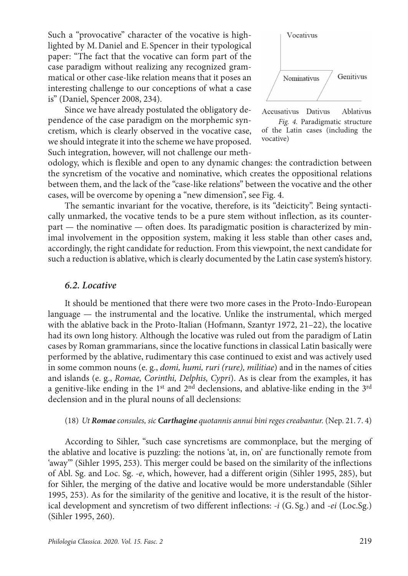Such a "provocative" character of the vocative is highlighted by M.Daniel and E. Spencer in their typological paper: "The fact that the vocative can form part of the case paradigm without realizing any recognized grammatical or other case-like relation means that it poses an interesting challenge to our conceptions of what a case is" (Daniel, Spencer 2008, 234).

Since we have already postulated the obligatory dependence of the case paradigm on the morphemic syncretism, which is clearly observed in the vocative case, we should integrate it into the scheme we have proposed. Such integration, however, will not challenge our meth-







odology, which is flexible and open to any dynamic changes: the contradiction between the syncretism of the vocative and nominative, which creates the oppositional relations between them, and the lack of the "case-like relations" between the vocative and the other cases, will be overcome by opening a "new dimension", see Fig. 4.

The semantic invariant for the vocative, therefore, is its "deicticity". Being syntactically unmarked, the vocative tends to be a pure stem without inflection, as its counterpart — the nominative — often does. Its paradigmatic position is characterized by minimal involvement in the opposition system, making it less stable than other cases and, accordingly, the right candidate for reduction. From this viewpoint, the next candidate for such a reduction is ablative, which is clearly documented by the Latin case system's history.

#### *6.2. Locative*

It should be mentioned that there were two more cases in the Proto-Indo-European language — the instrumental and the locative. Unlike the instrumental, which merged with the ablative back in the Proto-Italian (Hofmann, Szantyr 1972, 21–22), the locative had its own long history. Although the locative was ruled out from the paradigm of Latin cases by Roman grammarians, since the locative functions in classical Latin basically were performed by the ablative, rudimentary this case continued to exist and was actively used in some common nouns (e. g., *domi, humi, ruri (rure), militiae*) and in the names of cities and islands (e. g., *Romae, Corinthi, Delphis, Cypri*). As is clear from the examples, it has a genitive-like ending in the 1<sup>st</sup> and 2<sup>nd</sup> declensions, and ablative-like ending in the 3<sup>rd</sup> declension and in the plural nouns of all declensions:

#### (18) *Ut Romae consules, sic Carthagine quotannis annui bini reges creabantur.* (Nep. 21. 7. 4)

According to Sihler, "such case syncretisms are commonplace, but the merging of the ablative and locative is puzzling: the notions 'at, in, on' are functionally remote from 'away'" (Sihler 1995, 253). This merger could be based on the similarity of the inflections of Abl. Sg. and Loc. Sg. *-e*, which, however, had a different origin (Sihler 1995, 285), but for Sihler, the merging of the dative and locative would be more understandable (Sihler 1995, 253). As for the similarity of the genitive and locative, it is the result of the historical development and syncretism of two different inflections: *-i* (G. Sg.) and *-ei* (Loc.Sg.) (Sihler 1995, 260).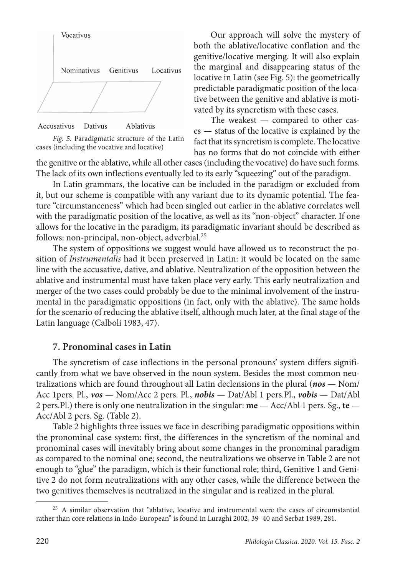



Our approach will solve the mystery of both the ablative/locative conflation and the genitive/locative merging. It will also explain the marginal and disappearing status of the locative in Latin (see Fig. 5): the geometrically predictable paradigmatic position of the locative between the genitive and ablative is motivated by its syncretism with these cases.

The weakest  $-$  compared to other cases — status of the locative is explained by the fact that its syncretism is complete. The locative has no forms that do not coincide with either

the genitive or the ablative, while all other cases (including the vocative) do have such forms. The lack of its own inflections eventually led to its early "squeezing" out of the paradigm.

In Latin grammars, the locative can be included in the paradigm or excluded from it, but our scheme is compatible with any variant due to its dynamic potential. The feature "circumstanceness" which had been singled out earlier in the ablative correlates well with the paradigmatic position of the locative, as well as its "non-object" character. If one allows for the locative in the paradigm, its paradigmatic invariant should be described as follows: non-principal, non-object, adverbial.25

The system of oppositions we suggest would have allowed us to reconstruct the position of *Instrumentalis* had it been preserved in Latin: it would be located on the same line with the accusative, dative, and ablative. Neutralization of the opposition between the ablative and instrumental must have taken place very early. This early neutralization and merger of the two cases could probably be due to the minimal involvement of the instrumental in the paradigmatic oppositions (in fact, only with the ablative). The same holds for the scenario of reducing the ablative itself, although much later, at the final stage of the Latin language (Calboli 1983, 47).

## **7. Pronominal cases in Latin**

The syncretism of case inflections in the personal pronouns' system differs significantly from what we have observed in the noun system. Besides the most common neutralizations which are found throughout all Latin declensions in the plural (*nos* — Nom/ Acc 1pers. Pl., *vos* — Nom/Acc 2 pers. Pl., *nobis* — Dat/Abl 1 pers.Pl., *vobis* — Dat/Abl 2 pers.Pl.) there is only one neutralization in the singular: **me** — Acc/Abl 1 pers. Sg., **te** — Acc/Abl 2 pers. Sg. (Table 2).

Table 2 highlights three issues we face in describing paradigmatic oppositions within the pronominal case system: first, the differences in the syncretism of the nominal and pronominal cases will inevitably bring about some changes in the pronominal paradigm as compared to the nominal one; second, the neutralizations we observe in Table 2 are not enough to "glue" the paradigm, which is their functional role; third, Genitive 1 and Genitive 2 do not form neutralizations with any other cases, while the difference between the two genitives themselves is neutralized in the singular and is realized in the plural.

<sup>&</sup>lt;sup>25</sup> A similar observation that "ablative, locative and instrumental were the cases of circumstantial rather than core relations in Indo-European" is found in Luraghi 2002, 39–40 and Serbat 1989, 281.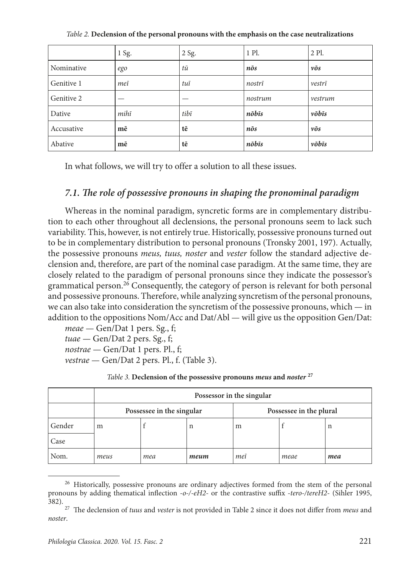|            | 1 Sg. | 2 Sg. | 1 Pl.       | 2 Pl.               |
|------------|-------|-------|-------------|---------------------|
| Nominative | ego   | tū    | $n\bar{o}s$ | $\nu\bar{\sigma} s$ |
| Genitive 1 | meī   | tuī   | nostrī      | vestrī              |
| Genitive 2 |       |       | nostrum     | vestrum             |
| Dative     | mihī  | tibī  | nōbīs       | vōbīs               |
| Accusative | mē    | tē    | $n\bar{o}s$ | $\nu\bar{\sigma} s$ |
| Abative    | mē    | tē    | nōbīs       | vōbīs               |

*Table 2.* **Declension of the personal pronouns with the emphasis on the case neutralizations**

In what follows, we will try to offer a solution to all these issues.

## *7.1. The role of possessive pronouns in shaping the pronominal paradigm*

Whereas in the nominal paradigm, syncretic forms are in complementary distribution to each other throughout all declensions, the personal pronouns seem to lack such variability. This, however, is not entirely true. Historically, possessive pronouns turned out to be in complementary distribution to personal pronouns (Tronsky 2001, 197). Actually, the possessive pronouns *meus, tuus, noster* and *vester* follow the standard adjective declension and, therefore, are part of the nominal case paradigm. At the same time, they are closely related to the paradigm of personal pronouns since they indicate the possessor's grammatical person.26 Consequently, the category of person is relevant for both personal and possessive pronouns. Therefore, while analyzing syncretism of the personal pronouns, we can also take into consideration the syncretism of the possessive pronouns, which — in addition to the oppositions Nom/Acc and Dat/Abl — will give us the opposition Gen/Dat:

*meae* — Gen/Dat 1 pers. Sg., f; *tuae —* Gen/Dat 2 pers. Sg., f; *nostrae* — Gen/Dat 1 pers. Pl., f; *vestrae* — Gen/Dat 2 pers. Pl., f. (Table 3).

|        | Possessor in the singular |     |                         |     |      |     |
|--------|---------------------------|-----|-------------------------|-----|------|-----|
|        | Possessee in the singular |     | Possessee in the plural |     |      |     |
| Gender | m                         |     | n                       | m   |      | n   |
| Case   |                           |     |                         |     |      |     |
| Nom.   | meus                      | mea | meum                    | meī | meae | mea |

*Table 3.* **Declension of the possessive pronouns** *meus* **and** *noster* **<sup>27</sup>**

<sup>&</sup>lt;sup>26</sup> Historically, possessive pronouns are ordinary adjectives formed from the stem of the personal pronouns by adding thematical inflection *-o-/-eH2-* or the contrastive suffix *-tero-/tereH2*- (Sihler 1995, 382).

<sup>27</sup> The declension of *tuus* and *vester* is not provided in Table 2 since it does not differ from *meus* and *noster*.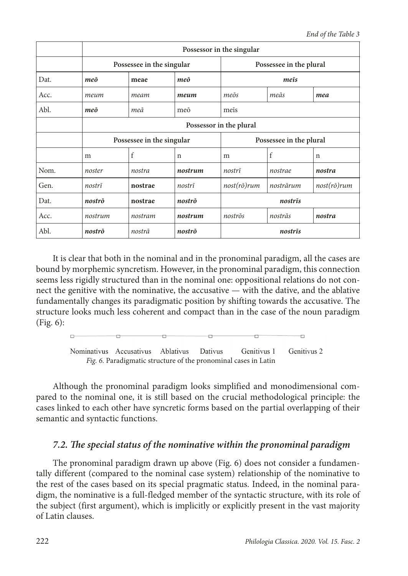|      | Possessor in the singular |         |         |                         |           |                     |
|------|---------------------------|---------|---------|-------------------------|-----------|---------------------|
|      | Possessee in the singular |         |         | Possessee in the plural |           |                     |
| Dat. | meō                       | meae    | meō     | meis                    |           |                     |
| Acc. | meum                      | meam    | meum    | meōs                    | meās      | mea                 |
| Abl. | meō                       | meā     | meō     | meis                    |           |                     |
|      | Possessor in the plural   |         |         |                         |           |                     |
|      | Possessee in the singular |         |         | Possessee in the plural |           |                     |
|      | m                         | f       | n       | m                       | f         | n                   |
| Nom. | noster                    | nostra  | nostrum | nostrī                  | nostrae   | nostra              |
| Gen. | nostrī                    | nostrae | nostrī  | $nost(r\bar{o})rum$     | nostrārum | $nost(r\bar{o})rum$ |
| Dat. | nostrō                    | nostrae | nostrō  | nostrīs                 |           |                     |
| Acc. | nostrum                   | nostram | nostrum | nostrōs                 | nostrās   | nostra              |
| Abl. | nostrō                    | nostrā  | nostrō  | nostrīs                 |           |                     |

It is clear that both in the nominal and in the pronominal paradigm, all the cases are bound by morphemic syncretism. However, in the pronominal paradigm, this connection seems less rigidly structured than in the nominal one: oppositional relations do not connect the genitive with the nominative, the accusative — with the dative, and the ablative fundamentally changes its paradigmatic position by shifting towards the accusative. The structure looks much less coherent and compact than in the case of the noun paradigm (Fig. 6):



Although the pronominal paradigm looks simplified and monodimensional compared to the nominal one, it is still based on the crucial methodological principle: the cases linked to each other have syncretic forms based on the partial overlapping of their semantic and syntactic functions.

## *7.2. The special status of the nominative within the pronominal paradigm*

The pronominal paradigm drawn up above (Fig. 6) does not consider a fundamentally different (compared to the nominal case system) relationship of the nominative to the rest of the cases based on its special pragmatic status. Indeed, in the nominal paradigm, the nominative is a full-fledged member of the syntactic structure, with its role of the subject (first argument), which is implicitly or explicitly present in the vast majority of Latin clauses.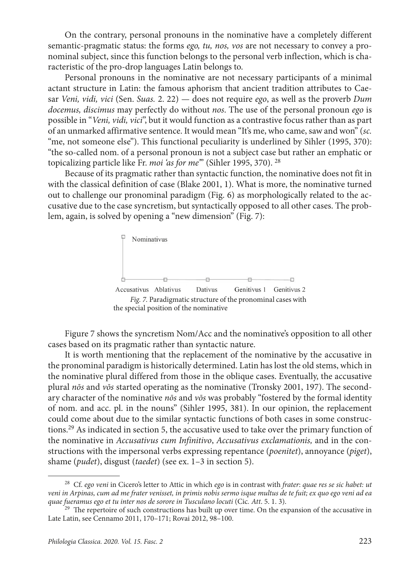On the contrary, personal pronouns in the nominative have a completely different semantic-pragmatic status: the forms *ego, tu, nos, vos* are not necessary to convey a pronominal subject, since this function belongs to the personal verb inflection, which is characteristic of the pro-drop languages Latin belongs to.

Personal pronouns in the nominative are not necessary participants of a minimal actant structure in Latin: the famous aphorism that ancient tradition attributes to Caesar *Veni, vidi, vici* (Sen. *Suas.* 2. 22) — does not require *ego*, as well as the proverb *Dum docemus, discimus* may perfectly do without *nos*. The use of the personal pronoun *ego* is possible in "*Veni, vidi, vici*", but it would function as a contrastive focus rather than as part of an unmarked affirmative sentence. It would mean "It's me, who came, saw and won" (*sc.* "me, not someone else"). This functional peculiarity is underlined by Sihler (1995, 370): "the so-called nom. of a personal pronoun is not a subject case but rather an emphatic or topicalizing particle like Fr. *moi 'as for me'*" (Sihler 1995, 370). 28

Because of its pragmatic rather than syntactic function, the nominative does not fit in with the classical definition of case (Blake 2001, 1). What is more, the nominative turned out to challenge our pronominal paradigm (Fig. 6) as morphologically related to the accusative due to the case syncretism, but syntactically opposed to all other cases. The problem, again, is solved by opening a "new dimension" (Fig. 7):



Figure 7 shows the syncretism Nom/Acc and the nominative's opposition to all other cases based on its pragmatic rather than syntactic nature.

It is worth mentioning that the replacement of the nominative by the accusative in the pronominal paradigm is historically determined. Latin has lost the old stems, which in the nominative plural differed from those in the oblique cases. Eventually, the accusative plural *nōs* and *vōs* started operating as the nominative (Tronsky 2001, 197). The secondary character of the nominative *nōs* and *vōs* was probably "fostered by the formal identity of nom. and acc. pl. in the nouns" (Sihler 1995, 381). In our opinion, the replacement could come about due to the similar syntactic functions of both cases in some constructions.29 As indicated in section 5, the accusative used to take over the primary function of the nominative in *Accusativus cum Infinitivo*, *Accusativus exclamationis,* and in the constructions with the impersonal verbs expressing repentance (*poenitet*), annoyance (*piget*), shame (*pudet*), disgust (*taedet*) (see ex. 1–3 in section 5).

<sup>28</sup> Cf. *ego veni* in Cicero's letter to Attic in which *ego* is in contrast with *frater*: *quae res se sic habet: ut veni in Arpinas, cum ad me frater venisset, in primis nobis sermo isque multus de te fuit; ex quo ego veni ad ea quae fueramus ego et tu inter nos de sorore in Tusculano locuti* (Cic*. Att*. 5. 1. 3).

<sup>&</sup>lt;sup>29</sup> The repertoire of such constructions has built up over time. On the expansion of the accusative in Late Latin, see Cennamo 2011, 170–171; Rovai 2012, 98–100.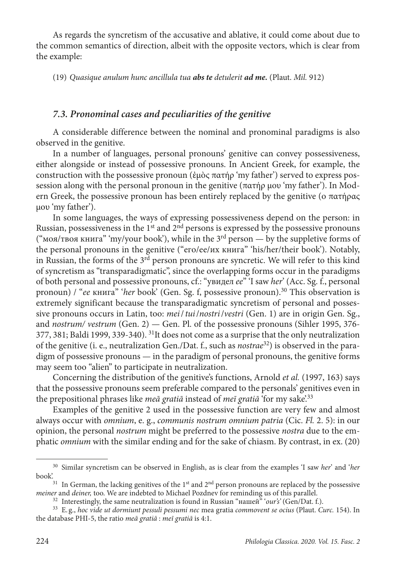As regards the syncretism of the accusative and ablative, it could come about due to the common semantics of direction, albeit with the opposite vectors, which is clear from the example:

(19) *Quasique anulum hunc ancillula tua abs te detulerit ad me.* (Plaut. *Mil.* 912)

#### *7.3. Pronominal cases and peculiarities of the genitive*

A considerable difference between the nominal and pronominal paradigms is also observed in the genitive.

In a number of languages, personal pronouns' genitive can convey possessiveness, either alongside or instead of possessive pronouns. In Ancient Greek, for example, the construction with the possessive pronoun (ἐμὸς πατήρ 'my father') served to express possession along with the personal pronoun in the genitive (πατήρ μου 'my father'). In Modern Greek, the possessive pronoun has been entirely replaced by the genitive (ο πατήρας μου 'my father').

In some languages, the ways of expressing possessiveness depend on the person: in Russian, possessiveness in the  $1<sup>st</sup>$  and  $2<sup>nd</sup>$  persons is expressed by the possessive pronouns ("моя/твоя книга" 'my/your book'), while in the  $3<sup>rd</sup>$  person — by the suppletive forms of the personal pronouns in the genitive ("его/ее/их книга" 'his/her/their book'). Notably, in Russian, the forms of the  $3<sup>rd</sup>$  person pronouns are syncretic. We will refer to this kind of syncretism as "transparadigmatic", since the overlapping forms occur in the paradigms of both personal and possessive pronouns, cf.: "увидел *ее*" 'I saw *her*' (Acc. Sg. f., personal pronoun) / "*ее* книга" '*her* book' (Gen. Sg. f, possessive pronoun).30 This observation is extremely significant because the transparadigmatic syncretism of personal and possessive pronouns occurs in Latin, too: *mei*/*tui*/*nostri*/*vestri* (Gen. 1) are in origin Gen. Sg., and *nostrum/ vestrum* (Gen. 2) — Gen. Pl. of the possessive pronouns (Sihler 1995, 376- 377, 381; Baldi 1999, 339-340). <sup>31</sup>It does not come as a surprise that the only neutralization of the genitive (i. e., neutralization Gen./Dat. f., such as *nostrae*32) is observed in the paradigm of possessive pronouns — in the paradigm of personal pronouns, the genitive forms may seem too "alien" to participate in neutralization.

Concerning the distribution of the genitive's functions, Arnold *et al.* (1997, 163) says that the possessive pronouns seem preferable compared to the personals' genitives even in the prepositional phrases like *meā gratiā* instead of *meī gratiā* 'for my sake'.33

Examples of the genitive 2 used in the possessive function are very few and almost always occur with *omnium*, e. g., *communis nostrum omnium patria* (Cic. *Fl.* 2. 5): in our opinion, the personal *nostrum* might be preferred to the possessive *nostra* due to the emphatic *omnium* with the similar ending and for the sake of chiasm. By contrast, in ex. (20)

<sup>30</sup> Similar syncretism can be observed in English, as is clear from the examples 'I saw *her*' and '*her*

<sup>&</sup>lt;sup>31</sup> In German, the lacking genitives of the 1<sup>st</sup> and  $2<sup>nd</sup>$  person pronouns are replaced by the possessive *meiner* and *deiner*, too. We are indebted to Michael Pozdnev for reminding us of this parallel.

<sup>&</sup>lt;sup>32</sup> Interestingly, the same neutralization is found in Russian "нашей" 'our's' (Gen/Dat. f.).<br><sup>33</sup> E.g., *hoc vide ut dormiunt pessuli pessumi nec* mea gratia *commovent se ocius* (Plaut. *Curc.* 154). In the database PHI-5, the ratio *meā gratiā* : *meī gratiā* is 4:1.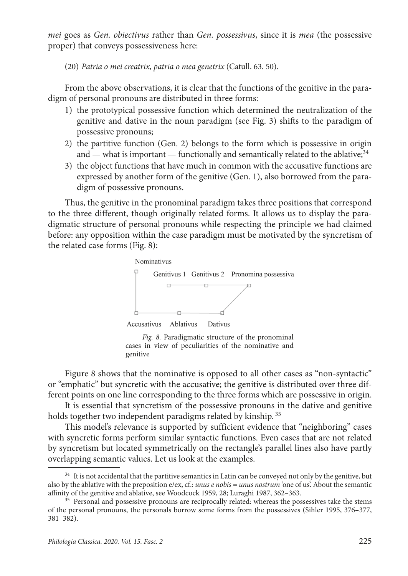*mei* goes as *Gen. obiectivus* rather than *Gen. possessivus*, since it is *mea* (the possessive proper) that conveys possessiveness here:

(20) *Patria o mei creatrix, patria o mea genetrix* (Catull. 63. 50).

From the above observations, it is clear that the functions of the genitive in the paradigm of personal pronouns are distributed in three forms:

- 1) the prototypical possessive function which determined the neutralization of the genitive and dative in the noun paradigm (see Fig. 3) shifts to the paradigm of possessive pronouns;
- 2) the partitive function (Gen. 2) belongs to the form which is possessive in origin and — what is important — functionally and semantically related to the ablative;<sup>34</sup>
- 3) the object functions that have much in common with the accusative functions are expressed by another form of the genitive (Gen. 1), also borrowed from the paradigm of possessive pronouns.

Thus, the genitive in the pronominal paradigm takes three positions that correspond to the three different, though originally related forms. It allows us to display the paradigmatic structure of personal pronouns while respecting the principle we had claimed before: any opposition within the case paradigm must be motivated by the syncretism of the related case forms (Fig. 8):



*Fig. 8.* Paradigmatic structure of the pronominal cases in view of peculiarities of the nominative and genitive

Figure 8 shows that the nominative is opposed to all other cases as "non-syntactic" or "emphatic" but syncretic with the accusative; the genitive is distributed over three different points on one line corresponding to the three forms which are possessive in origin.

It is essential that syncretism of the possessive pronouns in the dative and genitive holds together two independent paradigms related by kinship.<sup>35</sup>

This model's relevance is supported by sufficient evidence that "neighboring" cases with syncretic forms perform similar syntactic functions. Even cases that are not related by syncretism but located symmetrically on the rectangle's parallel lines also have partly overlapping semantic values. Let us look at the examples.

<sup>&</sup>lt;sup>34</sup> It is not accidental that the partitive semantics in Latin can be conveyed not only by the genitive, but also by the ablative with the preposition e/ex, cf.: *unus e nobis* = *unus nostrum* 'one of us'. About the semantic affinity of the genitive and ablative, see Woodcock 1959, 28; Luraghi 1987, 362–363.<br><sup>35</sup> Personal and possessive pronouns are reciprocally related: whereas the possessives take the stems

of the personal pronouns, the personals borrow some forms from the possessives (Sihler 1995, 376–377, 381–382).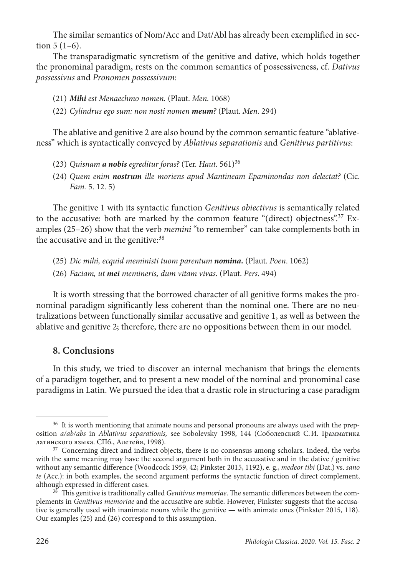The similar semantics of Nom/Acc and Dat/Abl has already been exemplified in section 5 (1–6).

The transparadigmatic syncretism of the genitive and dative, which holds together the pronominal paradigm, rests on the common semantics of possessiveness, cf. *Dativus possessivus* and *Pronomen possessivum*:

- (21) *Mihi est Menaechmo nomen.* (Plaut. *Men.* 1068)
- (22) *Cylindrus ego sum: non nosti nomen meum?* (Plaut. *Men.* 294)

The ablative and genitive 2 are also bound by the common semantic feature "ablativeness" which is syntactically conveyed by *Ablativus separationis* and *Genitivus partitivus*:

- (23) *Quisnam a nobis egreditur foras?* (Ter. *Haut.* 561)36
- (24) *Quem enim nostrum ille moriens apud Mantineam Epaminondas non delectat?* (Cic. *Fam.* 5. 12. 5)

The genitive 1 with its syntactic function *Genitivus obiectivus* is semantically related to the accusative: both are marked by the common feature "(direct) objectness".<sup>37</sup> Examples (25–26) show that the verb *memini* "to remember" can take complements both in the accusative and in the genitive:<sup>38</sup>

- (25) *Dic mihi, ecquid meministi tuom parentum nomina.* (Plaut. *Poen*. 1062)
- (26) *Faciam, ut mei memineris, dum vitam vivas.* (Plaut. *Pers*. 494)

It is worth stressing that the borrowed character of all genitive forms makes the pronominal paradigm significantly less coherent than the nominal one. There are no neutralizations between functionally similar accusative and genitive 1, as well as between the ablative and genitive 2; therefore, there are no oppositions between them in our model.

## **8. Conclusions**

In this study, we tried to discover an internal mechanism that brings the elements of a paradigm together, and to present a new model of the nominal and pronominal case paradigms in Latin. We pursued the idea that a drastic role in structuring a case paradigm

<sup>&</sup>lt;sup>36</sup> It is worth mentioning that animate nouns and personal pronouns are always used with the preposition *a/ab/abs* in *Ablativus separationis,* see Sobolevsky 1998, 144 (Соболевский С.И. Грамматика латинского языка. СПб., Алетейя, 1998). 37 Concerning direct and indirect objects, there is no consensus among scholars. Indeed, the verbs

with the same meaning may have the second argument both in the accusative and in the dative / genitive without any semantic difference (Woodcock 1959, 42; Pinkster 2015, 1192), e. g., *medeor tibi* (Dat.) vs. *sano te* (Acc.): in both examples, the second argument performs the syntactic function of direct complement, although expressed in different cases.

<sup>&</sup>lt;sup>38</sup> This genitive is traditionally called *Genitivus memoriae*. The semantic differences between the complements in *Genitivus memoriae* and the accusative are subtle. However, Pinkster suggests that the accusative is generally used with inanimate nouns while the genitive — with animate ones (Pinkster 2015, 118). Our examples (25) and (26) correspond to this assumption.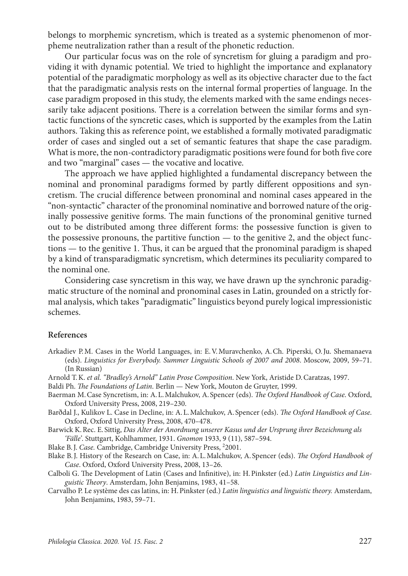belongs to morphemic syncretism, which is treated as a systemic phenomenon of morpheme neutralization rather than a result of the phonetic reduction.

Our particular focus was on the role of syncretism for gluing a paradigm and providing it with dynamic potential. We tried to highlight the importance and explanatory potential of the paradigmatic morphology as well as its objective character due to the fact that the paradigmatic analysis rests on the internal formal properties of language. In the case paradigm proposed in this study, the elements marked with the same endings necessarily take adjacent positions. There is a correlation between the similar forms and syntactic functions of the syncretic cases, which is supported by the examples from the Latin authors. Taking this as reference point, we established a formally motivated paradigmatic order of cases and singled out a set of semantic features that shape the case paradigm. What is more, the non-contradictory paradigmatic positions were found for both five core and two "marginal" cases — the vocative and locative.

The approach we have applied highlighted a fundamental discrepancy between the nominal and pronominal paradigms formed by partly different oppositions and syncretism. The crucial difference between pronominal and nominal cases appeared in the "non-syntactic" character of the pronominal nominative and borrowed nature of the originally possessive genitive forms. The main functions of the pronominal genitive turned out to be distributed among three different forms: the possessive function is given to the possessive pronouns, the partitive function — to the genitive 2, and the object functions — to the genitive 1. Thus, it can be argued that the pronominal paradigm is shaped by a kind of transparadigmatic syncretism, which determines its peculiarity compared to the nominal one.

Considering case syncretism in this way, we have drawn up the synchronic paradigmatic structure of the nominal and pronominal cases in Latin, grounded on a strictly formal analysis, which takes "paradigmatic" linguistics beyond purely logical impressionistic schemes.

#### **References**

- Arkadiev P.M. Cases in the World Languages, in: E.V.Muravchenko, A.Ch. Piperski, O.Ju. Shemanaeva (eds). *Linguistics for Everybody. Summer Linguistic Schools of 2007 and 2008*. Moscow, 2009, 59–71. (In Russian)
- Arnold T.K. *et al. "Bradley's Arnold" Latin Prose Composition*. New York, Aristide D.Caratzas, 1997.
- Baldi Ph. *The Foundations of Latin*. Berlin New York, Mouton de Gruyter, 1999.
- Baerman M. Case Syncretism, in: A. L. Malchukov, A. Spencer (eds). *The Oxford Handbook of Case*. Oxford, Oxford University Press, 2008, 219–230.
- Barðdal J., Kulikov L. Case in Decline, in: A.L.Malchukov, A. Spencer (eds). *The Oxford Handbook of Case*. Oxford, Oxford University Press, 2008, 470–478.
- Barwick K.Rec. E. Sittig, *Das Alter der Anordnung unserer Kasus und der Ursprung ihrer Bezeichnung als 'Fälle'*. Stuttgart, Kohlhammer, 1931. *Gnomon* 1933, 9 (11), 587–594.
- Blake B.J. *Case.* Cambridge, Cambridge University Press, 2 2001.
- Blake B.J. History of the Research on Case, in: A.L.Malchukov, A. Spencer (eds). *The Oxford Handbook of Case*. Oxford, Oxford University Press, 2008, 13–26.
- Calboli G. The Development of Latin (Cases and Infinitive), in: H.Pinkster (ed.) *Latin Linguistics and Linguistic Theory*. Amsterdam, John Benjamins, 1983, 41–58.
- Carvalho P. Le système des cas latins, in: H.Pinkster (ed.) *Latin linguistics and linguistic theory.* Amsterdam, John Benjamins, 1983, 59–71.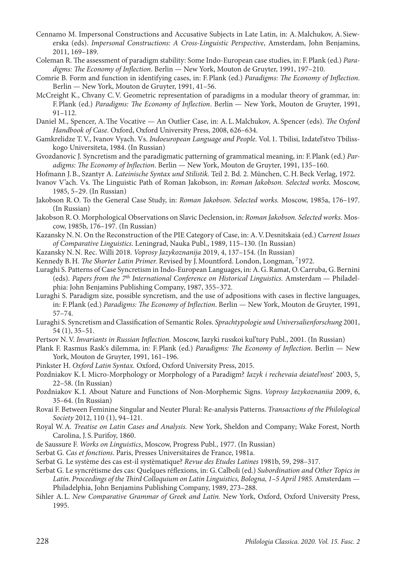- Cennamo M. Impersonal Constructions and Accusative Subjects in Late Latin, in: A.Malchukov, A. Siewerska (eds). *Impersonal Constructions: A Cross-Linguistic Perspective*, Amsterdam, John Benjamins, 2011, 169–189.
- Coleman R. The assessment of paradigm stability: Some Indo-European case studies, in: F.Plank (ed.) *Paradigms: The Economy of Inflection*. Berlin — New York, Mouton de Gruyter, 1991, 197–210.
- Comrie B. Form and function in identifying cases, in: F.Plank (ed.) *Paradigms: The Economy of Inflection*. Berlin — New York, Mouton de Gruyter, 1991, 41–56.
- McCreight K., Chvany C.V. Geometric representation of paradigms in a modular theory of grammar, in: F.Plank (ed.) *Paradigms: The Economy of Inflection*. Berlin — New York, Mouton de Gruyter, 1991, 91–112.
- Daniel M., Spencer, A.The Vocative An Outlier Case, in: A.L.Malchukov, A. Spencer (eds). *The Oxford Handbook of Case*. Oxford, Oxford University Press, 2008, 626–634.
- Gamkrelidze T.V., Ivanov Vyach. Vs. *Indoeuropean Language and People*. Vol. 1. Tbilisi, Izdatel'stvo Tbilisskogo Universiteta, 1984. (In Russian)
- Gvozdanovic J. Syncretism and the paradigmatic patterning of grammatical meaning, in: F.Plank (ed.) *Paradigms: The Economy of Inflection*. Berlin — New York, Mouton de Gruyter, 1991, 135–160.
- Hofmann J.B., Szantyr A. *Lateinische Syntax und Stilistik.* Teil 2. Bd. 2. München, C.H.Beck Verlag, 1972.
- Ivanov V'ach. Vs. The Linguistic Path of Roman Jakobson, in: *Roman Jakobson. Selected works.* Mosсow, 1985, 5–29. (In Russian)
- Jakobson R.O. To the General Case Study, in: *Roman Jakobson. Selected works.* Moscow, 1985a, 176–197. (In Russian)
- Jakobson R.O. Morphological Observations on Slavic Declension, in: *Roman Jakobson. Selected works.* Moscow, 1985b, 176–197. (In Russian)
- Kazansky N.N. On the Reconstruction of the PIE Category of Case, in: A.V.Desnitskaia (ed.) *Current Issues of Comparative Linguistics*. Leningrad, Nauka Publ., 1989, 115–130. (In Russian)
- Kazansky N.N. Rec. Willi 2018. *Voprosy Jazykoznanija* 2019, 4, 137–154. (In Russian)
- Kennedy B.H. *The Shorter Latin Primer.* Revised by J.Mountford. London, Longman, 7 1972.
- Luraghi S. Patterns of Case Syncretism in Indo-European Languages, in: A.G.Ramat, O.Carruba, G.Bernini (eds). *Papers from the 7th International Conference on Historical Linguistics.* Amsterdam — Philadelphia: John Benjamins Publishing Company, 1987, 355–372.
- Luraghi S. Paradigm size, possible syncretism, and the use of adpositions with cases in flective languages, in: F.Plank (ed.) *Paradigms: The Economy of Inflection*. Berlin — New York, Mouton de Gruyter, 1991, 57–74.
- Luraghi S. Syncretism and Classification of Semantic Roles. *Sprachtypologie und Universalienforschung* 2001, 54 (1), 35–51.
- Pertsov N.V. *Invariants in Russian Inflection.* Moscow, Iazyki russkoi kul'tury Publ., 2001. (In Russian)
- Plank F. Rasmus Rask's dilemma, in: F.Plank (ed.) *Paradigms: The Economy of Inflection*. Berlin New York, Mouton de Gruyter, 1991, 161–196.
- Pinkster H. *Oxford Latin Syntax.* Oxford, Oxford University Press, 2015.
- Pozdniakov K.I. Micro-Morphology or Morphology of a Paradigm? *Iazyk i rechevaia deiatel'nost'* 2003, 5, 22–58. (In Russian)
- Pozdniakov K.I. About Nature and Functions of Non-Morphemic Signs. *Voprosy Iazykoznaniia* 2009, 6, 35–64. (In Russian)
- Rovai F. Between Feminine Singular and Neuter Plural: Re-analysis Patterns. *Transactions of the Philological Society* 2012, 110 (1), 94–121.
- Royal W.A. *Treatise on Latin Cases and Analysis.* New York, Sheldon and Company; Wake Forest, North Carolina, J. S.Purifoy, 1860.
- de Saussure F. *Works on Linguistics*, Moscow, Progress Publ., 1977. (In Russian)
- Serbat G. *Cas et fonctions*. Paris, Presses Universitaires de France, 1981a.
- Serbat G. Le système des cas est-il systèmatique? *Revue des Etudes Latines* 1981b, 59, 298–317.
- Serbat G. Le syncrétisme des cas: Quelques réflexions, in: G.Calboli (ed.) *Subordination and Other Topics in Latin. Proceedings of the Third Colloquium on Latin Linguistics, Bologna, 1–5 April 1985.* Amsterdam — Philadelphia, John Benjamins Publishing Company, 1989, 273–288.
- Sihler A.L. *New Comparative Grammar of Greek and Latin.* New York, Oxford, Oxford University Press, 1995.